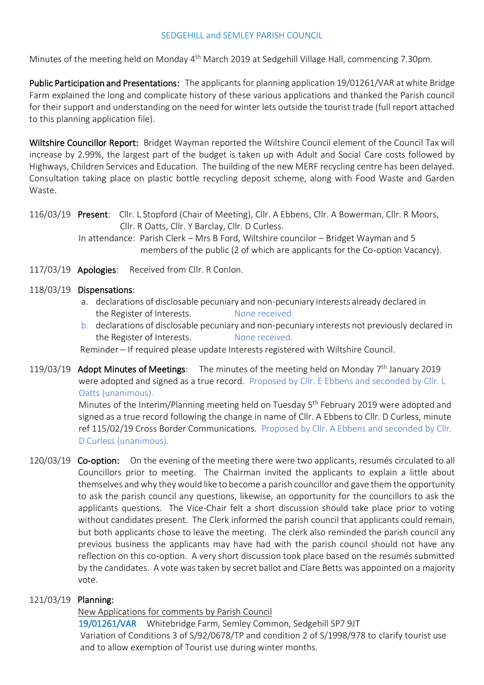### SEDGEHILL and SEMLEY PARISH COUNCIL

Minutes of the meeting held on Monday 4<sup>th</sup> March 2019 at Sedgehill Village Hall, commencing 7.30pm.

Public Participation and Presentations: The applicants for planning application 19/01261/VAR at white Bridge Farm explained the long and complicate history of these various applications and thanked the Parish council for their support and understanding on the need for winter lets outside the tourist trade (full report attached to this planning application file).

Wiltshire Councillor Report: Bridget Wayman reported the Wiltshire Council element of the Council Tax will increase by 2.99%, the largest part of the budget is taken up with Adult and Social Care costs followed by Highways, Children Services and Education. The building of the new MERF recycling centre has been delayed. Consultation taking place on plastic bottle recycling deposit scheme, along with Food Waste and Garden Waste.

116/03/19 Present: Cllr. L Stopford (Chair of Meeting), Cllr. A Ebbens, Cllr. A Bowerman, Cllr. R Moors, Cllr. R Oatts, Cllr. Y Barclay, Cllr. D Curless.

 In attendance: Parish Clerk – Mrs B Ford, Wiltshire councilor – Bridget Wayman and 5 members of the public (2 of which are applicants for the Co-option Vacancy).

- 117/03/19 Apologies: Received from Cllr. R Conlon.
- 118/03/19 Dispensations:
	- a. declarations of disclosable pecuniary and non-pecuniary interests already declared in the Register of Interests. None received.
	- b. declarations of disclosable pecuniary and non-pecuniary interests not previously declared in the Register of Interests. None received.

Reminder – If required please update Interests registered with Wiltshire Council.

119/03/19 Adopt Minutes of Meetings: The minutes of the meeting held on Monday  $7<sup>th</sup>$  January 2019 were adopted and signed as a true record. Proposed by Cllr. E Ebbens and seconded by Cllr. L Oatts (unanimous).

Minutes of the Interim/Planning meeting held on Tuesday 5<sup>th</sup> February 2019 were adopted and signed as a true record following the change in name of Cllr. A Ebbens to Cllr. D Curless, minute ref 115/02/19 Cross Border Communications. Proposed by Cllr. A Ebbens and seconded by Cllr. D Curless (unanimous).

120/03/19 Co-option: On the evening of the meeting there were two applicants, resumés circulated to all Councillors prior to meeting. The Chairman invited the applicants to explain a little about themselves and why they would like to become a parish councillor and gave them the opportunity to ask the parish council any questions, likewise, an opportunity for the councillors to ask the applicants questions. The Vice-Chair felt a short discussion should take place prior to voting without candidates present. The Clerk informed the parish council that applicants could remain, but both applicants chose to leave the meeting. The clerk also reminded the parish council any previous business the applicants may have had with the parish council should not have any reflection on this co-option. A very short discussion took place based on the resumés submitted by the candidates. A vote was taken by secret ballot and Clare Betts was appointed on a majority vote.

## 121/03/19 Planning:

New Applications for comments by Parish Council

 19/01261/VAR Whitebridge Farm, Semley Common, Sedgehill SP7 9JT Variation of Conditions 3 of S/92/0678/TP and condition 2 of S/1998/978 to clarify tourist use and to allow exemption of Tourist use during winter months.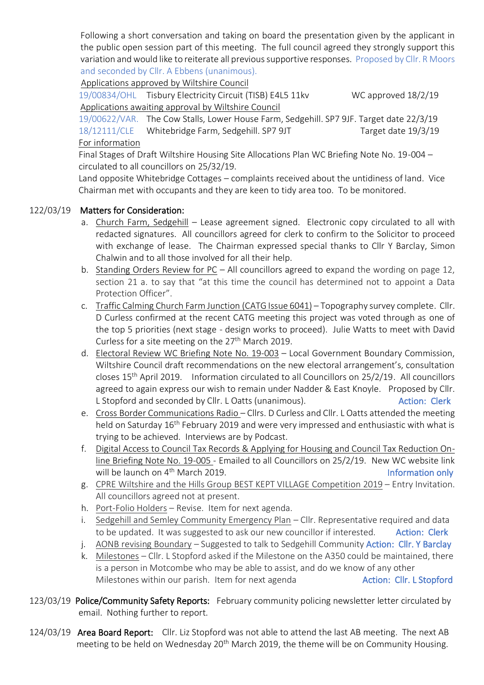Following a short conversation and taking on board the presentation given by the applicant in the public open session part of this meeting. The full council agreed they strongly support this variation and would like to reiterate all previous supportive responses. Proposed by Cllr. R Moors and seconded by Cllr. A Ebbens (unanimous).

Applications approved by Wiltshire Council

 19/00834/OHL Tisbury Electricity Circuit (TISB) E4L5 11kv WC approved 18/2/19 Applications awaiting approval by Wiltshire Council

 19/00622/VAR. The Cow Stalls, Lower House Farm, Sedgehill. SP7 9JF. Target date 22/3/19 18/12111/CLE Whitebridge Farm, Sedgehill. SP7 9JT Target date 19/3/19 For information

 Final Stages of Draft Wiltshire Housing Site Allocations Plan WC Briefing Note No. 19-004 – circulated to all councillors on 25/32/19.

 Land opposite Whitebridge Cottages – complaints received about the untidiness of land. Vice Chairman met with occupants and they are keen to tidy area too. To be monitored.

# 122/03/19 Matters for Consideration:

- a. Church Farm, Sedgehill Lease agreement signed. Electronic copy circulated to all with redacted signatures. All councillors agreed for clerk to confirm to the Solicitor to proceed with exchange of lease. The Chairman expressed special thanks to Cllr Y Barclay, Simon Chalwin and to all those involved for all their help.
- b. Standing Orders Review for PC All councillors agreed to expand the wording on page 12, section 21 a. to say that "at this time the council has determined not to appoint a Data Protection Officer".
- c. Traffic Calming Church Farm Junction (CATG Issue 6041) Topography survey complete. Cllr. D Curless confirmed at the recent CATG meeting this project was voted through as one of the top 5 priorities (next stage - design works to proceed). Julie Watts to meet with David Curless for a site meeting on the  $27<sup>th</sup>$  March 2019.
- d. Electoral Review WC Briefing Note No. 19-003 Local Government Boundary Commission, Wiltshire Council draft recommendations on the new electoral arrangement's, consultation closes 15th April 2019. Information circulated to all Councillors on 25/2/19. All councillors agreed to again express our wish to remain under Nadder & East Knoyle. Proposed by Cllr. L Stopford and seconded by Cllr. L Oatts (unanimous). Action: Clerk
- e. Cross Border Communications Radio Cllrs. D Curless and Cllr. L Oatts attended the meeting held on Saturday 16th February 2019 and were very impressed and enthusiastic with what is trying to be achieved. Interviews are by Podcast.
- f. Digital Access to Council Tax Records & Applying for Housing and Council Tax Reduction Online Briefing Note No. 19-005 - Emailed to all Councillors on 25/2/19. New WC website link will be launch on 4<sup>th</sup> March 2019. **Information only** and the latter only and the latter only
- g. CPRE Wiltshire and the Hills Group BEST KEPT VILLAGE Competition 2019 Entry Invitation. All councillors agreed not at present.
- h. Port-Folio Holders Revise. Item for next agenda.
- i. Sedgehill and Semley Community Emergency Plan Cllr. Representative required and data to be updated. It was suggested to ask our new councillor if interested. Action: Clerk
- j. AONB revising Boundary Suggested to talk to Sedgehill Community Action: Cllr. Y Barclay
- k. Milestones Cllr. L Stopford asked if the Milestone on the A350 could be maintained, there is a person in Motcombe who may be able to assist, and do we know of any other Milestones within our parish. Item for next agenda **Action: Cllr. L Stopford**
- 123/03/19 Police/Community Safety Reports: February community policing newsletter letter circulated by email. Nothing further to report.
- 124/03/19 Area Board Report: Cllr. Liz Stopford was not able to attend the last AB meeting. The next AB meeting to be held on Wednesday 20<sup>th</sup> March 2019, the theme will be on Community Housing.